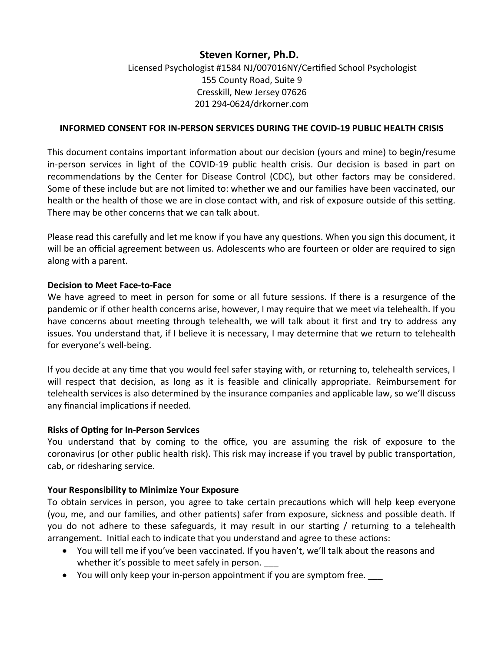# **Steven Korner, Ph.D.**

# Licensed Psychologist #1584 NJ/007016NY/Certified School Psychologist 155 County Road, Suite 9 Cresskill, New Jersey 07626 201 294-0624/drkorner.com

# **INFORMED CONSENT FOR IN-PERSON SERVICES DURING THE COVID-19 PUBLIC HEALTH CRISIS**

This document contains important information about our decision (yours and mine) to begin/resume in-person services in light of the COVID-19 public health crisis. Our decision is based in part on recommendations by the Center for Disease Control (CDC), but other factors may be considered. Some of these include but are not limited to: whether we and our families have been vaccinated, our health or the health of those we are in close contact with, and risk of exposure outside of this setting. There may be other concerns that we can talk about.

Please read this carefully and let me know if you have any questions. When you sign this document, it will be an official agreement between us. Adolescents who are fourteen or older are required to sign along with a parent.

## **Decision to Meet Face-to-Face**

We have agreed to meet in person for some or all future sessions. If there is a resurgence of the pandemic or if other health concerns arise, however, I may require that we meet via telehealth. If you have concerns about meeting through telehealth, we will talk about it first and try to address any issues. You understand that, if I believe it is necessary, I may determine that we return to telehealth for everyone's well-being.

If you decide at any time that you would feel safer staying with, or returning to, telehealth services, I will respect that decision, as long as it is feasible and clinically appropriate. Reimbursement for telehealth services is also determined by the insurance companies and applicable law, so we'll discuss any financial implications if needed.

# **Risks of Opting for In-Person Services**

You understand that by coming to the office, you are assuming the risk of exposure to the coronavirus (or other public health risk). This risk may increase if you travel by public transportation, cab, or ridesharing service.

#### **Your Responsibility to Minimize Your Exposure**

To obtain services in person, you agree to take certain precautions which will help keep everyone (you, me, and our families, and other patients) safer from exposure, sickness and possible death. If you do not adhere to these safeguards, it may result in our starting / returning to a telehealth arrangement. Initial each to indicate that you understand and agree to these actions:

- You will tell me if you've been vaccinated. If you haven't, we'll talk about the reasons and whether it's possible to meet safely in person.
- You will only keep your in-person appointment if you are symptom free.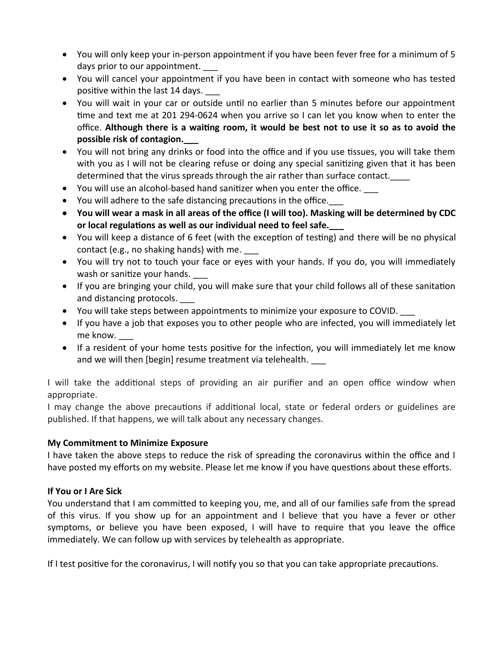- You will only keep your in-person appointment if you have been fever free for a minimum of 5 days prior to our appointment.
- You will cancel your appointment if you have been in contact with someone who has tested positive within the last 14 days.
- You will wait in your car or outside until no earlier than 5 minutes before our appointment time and text me at 201 294-0624 when you arrive so I can let you know when to enter the office. **Although there is a waiting room, it would be best not to use it so as to avoid the possible risk of contagion.\_\_\_**
- You will not bring any drinks or food into the office and if you use tissues, you will take them with you as I will not be clearing refuse or doing any special sanitizing given that it has been determined that the virus spreads through the air rather than surface contact.
- You will use an alcohol-based hand sanitizer when you enter the office.
- You will adhere to the safe distancing precautions in the office.
- **You will wear a mask in all areas of the office (I will too). Masking will be determined by CDC or local regulations as well as our individual need to feel safe.\_\_\_**
- You will keep a distance of 6 feet (with the exception of testing) and there will be no physical contact (e.g., no shaking hands) with me.
- You will try not to touch your face or eyes with your hands. If you do, you will immediately wash or sanitize your hands.
- If you are bringing your child, you will make sure that your child follows all of these sanitation and distancing protocols.
- You will take steps between appointments to minimize your exposure to COVID. \_\_\_
- If you have a job that exposes you to other people who are infected, you will immediately let me know.
- If a resident of your home tests positive for the infection, you will immediately let me know and we will then [begin] resume treatment via telehealth.

I will take the additional steps of providing an air purifier and an open office window when appropriate.

I may change the above precautions if additional local, state or federal orders or guidelines are published. If that happens, we will talk about any necessary changes.

# **My Commitment to Minimize Exposure**

I have taken the above steps to reduce the risk of spreading the coronavirus within the office and I have posted my efforts on my website. Please let me know if you have questions about these efforts.

# **If You or I Are Sick**

You understand that I am committed to keeping you, me, and all of our families safe from the spread of this virus. If you show up for an appointment and I believe that you have a fever or other symptoms, or believe you have been exposed, I will have to require that you leave the office immediately. We can follow up with services by telehealth as appropriate.

If I test positive for the coronavirus, I will notify you so that you can take appropriate precautions.